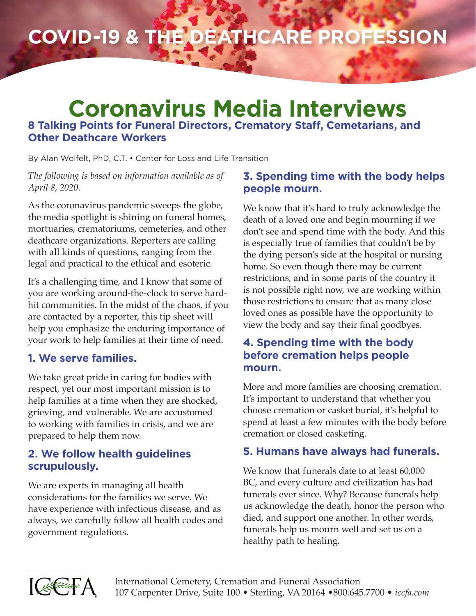# **COVID-19 & the Deathcare Profession**

# **Coronavirus Media Interviews 8 Talking Points for Funeral Directors, Crematory Staff, Cemetarians, and Other Deathcare Workers**

By Alan Wolfelt, PhD, C.T. • Center for Loss and Life Transition

*The following is based on information available as of April 8, 2020.*

As the coronavirus pandemic sweeps the globe, the media spotlight is shining on funeral homes, mortuaries, crematoriums, cemeteries, and other deathcare organizations. Reporters are calling with all kinds of questions, ranging from the legal and practical to the ethical and esoteric.

It's a challenging time, and I know that some of you are working around-the-clock to serve hardhit communities. In the midst of the chaos, if you are contacted by a reporter, this tip sheet will help you emphasize the enduring importance of your work to help families at their time of need.

# **1. We serve families.**

We take great pride in caring for bodies with respect, yet our most important mission is to help families at a time when they are shocked, grieving, and vulnerable. We are accustomed to working with families in crisis, and we are prepared to help them now.

# **2. We follow health guidelines scrupulously.**

We are experts in managing all health considerations for the families we serve. We have experience with infectious disease, and as always, we carefully follow all health codes and government regulations.

# **3. Spending time with the body helps people mourn.**

We know that it's hard to truly acknowledge the death of a loved one and begin mourning if we don't see and spend time with the body. And this is especially true of families that couldn't be by the dying person's side at the hospital or nursing home. So even though there may be current restrictions, and in some parts of the country it is not possible right now, we are working within those restrictions to ensure that as many close loved ones as possible have the opportunity to view the body and say their final goodbyes.

#### **4. Spending time with the body before cremation helps people mourn.**

More and more families are choosing cremation. It's important to understand that whether you choose cremation or casket burial, it's helpful to spend at least a few minutes with the body before cremation or closed casketing.

# **5. Humans have always had funerals.**

We know that funerals date to at least 60,000 BC, and every culture and civilization has had funerals ever since. Why? Because funerals help us acknowledge the death, honor the person who died, and support one another. In other words, funerals help us mourn well and set us on a healthy path to healing.